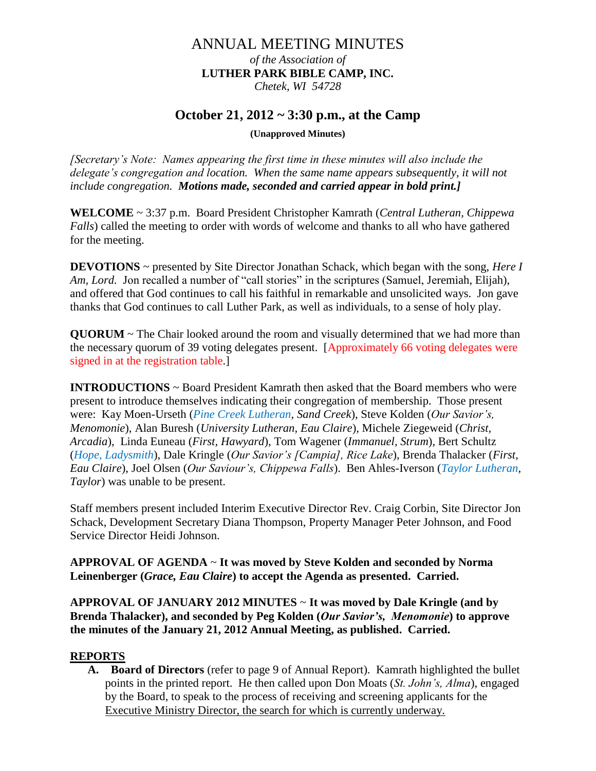# ANNUAL MEETING MINUTES

*of the Association of* **LUTHER PARK BIBLE CAMP, INC.** *Chetek, WI 54728*

## **October 21, 2012 ~ 3:30 p.m., at the Camp**

**(Unapproved Minutes)**

*[Secretary's Note: Names appearing the first time in these minutes will also include the delegate's congregation and location. When the same name appears subsequently, it will not include congregation. Motions made, seconded and carried appear in bold print.]*

**WELCOME** ~ 3:37 p.m. Board President Christopher Kamrath (*Central Lutheran, Chippewa Falls*) called the meeting to order with words of welcome and thanks to all who have gathered for the meeting.

**DEVOTIONS** ~ presented by Site Director Jonathan Schack, which began with the song, *Here I Am, Lord.* Jon recalled a number of "call stories" in the scriptures (Samuel, Jeremiah, Elijah), and offered that God continues to call his faithful in remarkable and unsolicited ways. Jon gave thanks that God continues to call Luther Park, as well as individuals, to a sense of holy play.

**QUORUM** ~ The Chair looked around the room and visually determined that we had more than the necessary quorum of 39 voting delegates present. [Approximately 66 voting delegates were signed in at the registration table.]

**INTRODUCTIONS** ~ Board President Kamrath then asked that the Board members who were present to introduce themselves indicating their congregation of membership. Those present were: Kay Moen-Urseth (*Pine Creek Lutheran, Sand Creek*), Steve Kolden (*Our Savior's, Menomonie*), Alan Buresh (*University Lutheran, Eau Claire*), Michele Ziegeweid (*Christ, Arcadia*), Linda Euneau (*First, Hawyard*), Tom Wagener (*Immanuel, Strum*), Bert Schultz (*Hope, Ladysmith*), Dale Kringle (*Our Savior's [Campia], Rice Lake*), Brenda Thalacker (*First, Eau Claire*), Joel Olsen (*Our Saviour's, Chippewa Falls*). Ben Ahles-Iverson (*Taylor Lutheran, Taylor*) was unable to be present.

Staff members present included Interim Executive Director Rev. Craig Corbin, Site Director Jon Schack, Development Secretary Diana Thompson, Property Manager Peter Johnson, and Food Service Director Heidi Johnson.

**APPROVAL OF AGENDA** ~ **It was moved by Steve Kolden and seconded by Norma Leinenberger (***Grace, Eau Claire***) to accept the Agenda as presented. Carried.**

**APPROVAL OF JANUARY 2012 MINUTES** ~ **It was moved by Dale Kringle (and by Brenda Thalacker), and seconded by Peg Kolden (***Our Savior's, Menomonie***) to approve the minutes of the January 21, 2012 Annual Meeting, as published. Carried.**

### **REPORTS**

**A. Board of Directors** (refer to page 9 of Annual Report). Kamrath highlighted the bullet points in the printed report. He then called upon Don Moats (*St. John's, Alma*), engaged by the Board, to speak to the process of receiving and screening applicants for the Executive Ministry Director, the search for which is currently underway.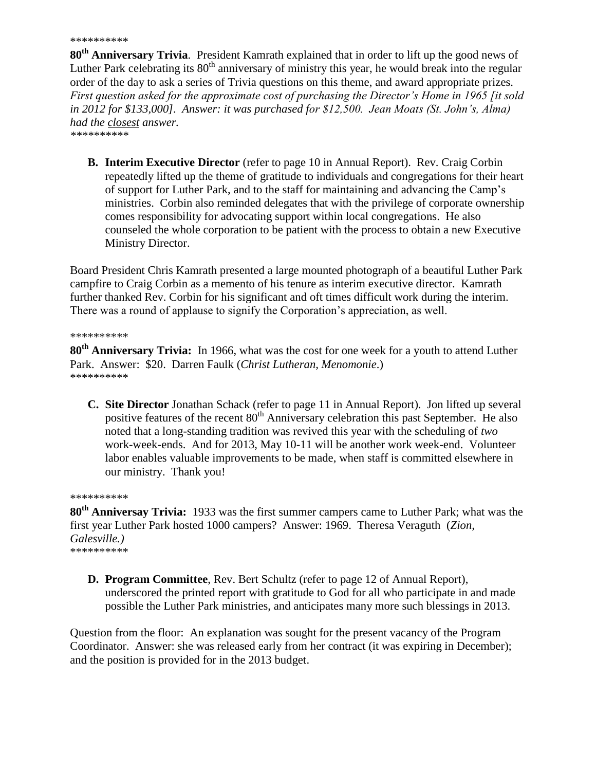#### \*\*\*\*\*\*\*\*\*\*

**80th Anniversary Trivia**. President Kamrath explained that in order to lift up the good news of Luther Park celebrating its  $80<sup>th</sup>$  anniversary of ministry this year, he would break into the regular order of the day to ask a series of Trivia questions on this theme, and award appropriate prizes. *First question asked for the approximate cost of purchasing the Director's Home in 1965 [it sold in 2012 for \$133,000]. Answer: it was purchased for \$12,500. Jean Moats (St. John's, Alma) had the closest answer.*

*\*\*\*\*\*\*\*\*\*\**

**B. Interim Executive Director** (refer to page 10 in Annual Report). Rev. Craig Corbin repeatedly lifted up the theme of gratitude to individuals and congregations for their heart of support for Luther Park, and to the staff for maintaining and advancing the Camp's ministries. Corbin also reminded delegates that with the privilege of corporate ownership comes responsibility for advocating support within local congregations. He also counseled the whole corporation to be patient with the process to obtain a new Executive Ministry Director.

Board President Chris Kamrath presented a large mounted photograph of a beautiful Luther Park campfire to Craig Corbin as a memento of his tenure as interim executive director. Kamrath further thanked Rev. Corbin for his significant and oft times difficult work during the interim. There was a round of applause to signify the Corporation's appreciation, as well.

\*\*\*\*\*\*\*\*\*\*

**80th Anniversary Trivia:** In 1966, what was the cost for one week for a youth to attend Luther Park. Answer: \$20. Darren Faulk (*Christ Lutheran, Menomonie*.) \*\*\*\*\*\*\*\*\*\*

**C. Site Director** Jonathan Schack (refer to page 11 in Annual Report). Jon lifted up several positive features of the recent  $80^{th}$  Anniversary celebration this past September. He also noted that a long-standing tradition was revived this year with the scheduling of *two* work-week-ends. And for 2013, May 10-11 will be another work week-end. Volunteer labor enables valuable improvements to be made, when staff is committed elsewhere in our ministry. Thank you!

\*\*\*\*\*\*\*\*\*\*

**80th Anniversay Trivia:** 1933 was the first summer campers came to Luther Park; what was the first year Luther Park hosted 1000 campers? Answer: 1969. Theresa Veraguth (*Zion, Galesville.)* \*\*\*\*\*\*\*\*\*\*

**D. Program Committee**, Rev. Bert Schultz (refer to page 12 of Annual Report), underscored the printed report with gratitude to God for all who participate in and made possible the Luther Park ministries, and anticipates many more such blessings in 2013.

Question from the floor: An explanation was sought for the present vacancy of the Program Coordinator. Answer: she was released early from her contract (it was expiring in December); and the position is provided for in the 2013 budget.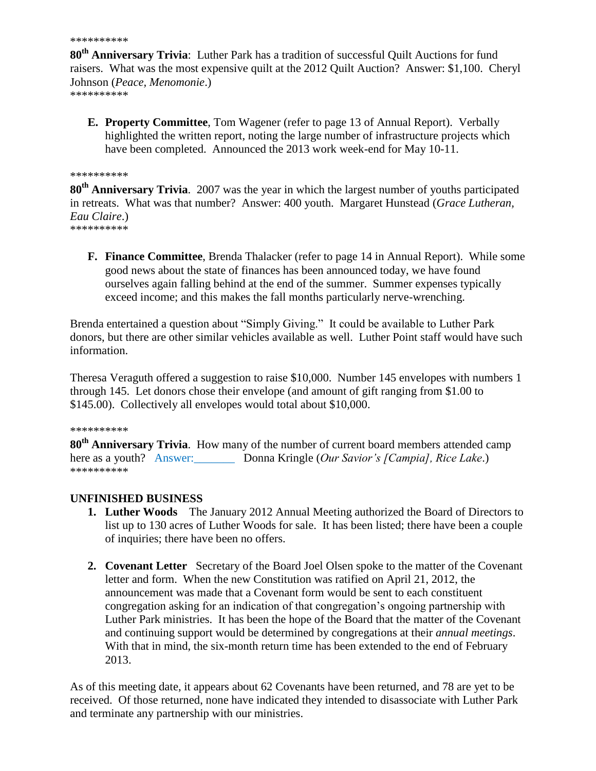```
**********
```
**80th Anniversary Trivia**: Luther Park has a tradition of successful Quilt Auctions for fund raisers. What was the most expensive quilt at the 2012 Quilt Auction? Answer: \$1,100. Cheryl Johnson (*Peace, Menomonie*.) \*\*\*\*\*\*\*\*\*\*

**E. Property Committee**, Tom Wagener (refer to page 13 of Annual Report). Verbally highlighted the written report, noting the large number of infrastructure projects which have been completed. Announced the 2013 work week-end for May 10-11.

#### \*\*\*\*\*\*\*\*\*\*

**80th Anniversary Trivia**. 2007 was the year in which the largest number of youths participated in retreats. What was that number? Answer: 400 youth. Margaret Hunstead (*Grace Lutheran, Eau Claire*.) \*\*\*\*\*\*\*\*\*\*

**F. Finance Committee**, Brenda Thalacker (refer to page 14 in Annual Report). While some good news about the state of finances has been announced today, we have found ourselves again falling behind at the end of the summer. Summer expenses typically exceed income; and this makes the fall months particularly nerve-wrenching.

Brenda entertained a question about "Simply Giving." It could be available to Luther Park donors, but there are other similar vehicles available as well. Luther Point staff would have such information.

Theresa Veraguth offered a suggestion to raise \$10,000. Number 145 envelopes with numbers 1 through 145. Let donors chose their envelope (and amount of gift ranging from \$1.00 to \$145.00). Collectively all envelopes would total about \$10,000.

#### \*\*\*\*\*\*\*\*\*\*

**80th Anniversary Trivia**. How many of the number of current board members attended camp here as a youth? Answer: Donna Kringle (*Our Savior's [Campia], Rice Lake.*) \*\*\*\*\*\*\*\*\*\*

## **UNFINISHED BUSINESS**

- **1. Luther Woods** The January 2012 Annual Meeting authorized the Board of Directors to list up to 130 acres of Luther Woods for sale. It has been listed; there have been a couple of inquiries; there have been no offers.
- **2. Covenant Letter** Secretary of the Board Joel Olsen spoke to the matter of the Covenant letter and form. When the new Constitution was ratified on April 21, 2012, the announcement was made that a Covenant form would be sent to each constituent congregation asking for an indication of that congregation's ongoing partnership with Luther Park ministries. It has been the hope of the Board that the matter of the Covenant and continuing support would be determined by congregations at their *annual meetings*. With that in mind, the six-month return time has been extended to the end of February 2013.

As of this meeting date, it appears about 62 Covenants have been returned, and 78 are yet to be received. Of those returned, none have indicated they intended to disassociate with Luther Park and terminate any partnership with our ministries.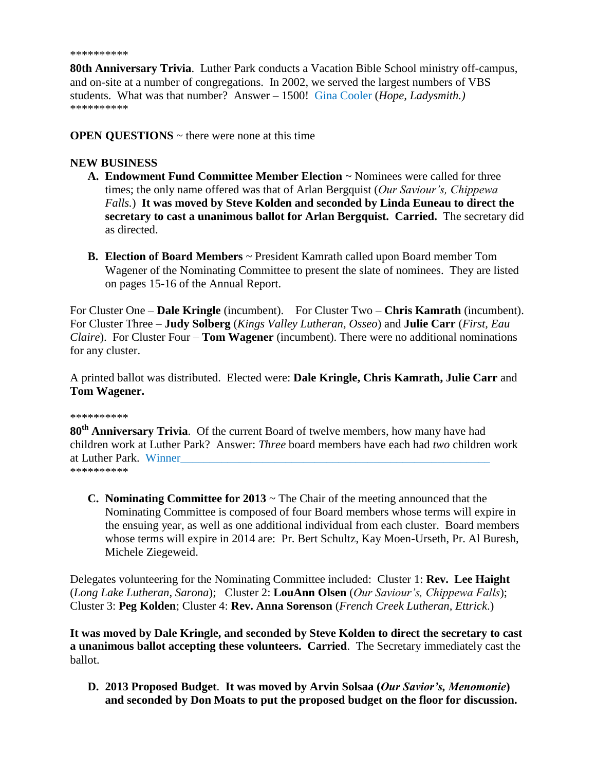```
**********
```
**80th Anniversary Trivia**. Luther Park conducts a Vacation Bible School ministry off-campus, and on-site at a number of congregations. In 2002, we served the largest numbers of VBS students. What was that number? Answer – 1500! Gina Cooler (*Hope, Ladysmith.)* \*\*\*\*\*\*\*\*\*\*

**OPEN QUESTIONS** ~ there were none at this time

## **NEW BUSINESS**

- **A. Endowment Fund Committee Member Election** ~ Nominees were called for three times; the only name offered was that of Arlan Bergquist (*Our Saviour's, Chippewa Falls.*) **It was moved by Steve Kolden and seconded by Linda Euneau to direct the secretary to cast a unanimous ballot for Arlan Bergquist. Carried.** The secretary did as directed.
- **B. Election of Board Members** ~ President Kamrath called upon Board member Tom Wagener of the Nominating Committee to present the slate of nominees. They are listed on pages 15-16 of the Annual Report.

For Cluster One – **Dale Kringle** (incumbent). For Cluster Two – **Chris Kamrath** (incumbent). For Cluster Three – **Judy Solberg** (*Kings Valley Lutheran, Osseo*) and **Julie Carr** (*First, Eau Claire*). For Cluster Four – **Tom Wagener** (incumbent). There were no additional nominations for any cluster.

A printed ballot was distributed. Elected were: **Dale Kringle, Chris Kamrath, Julie Carr** and **Tom Wagener.**

#### \*\*\*\*\*\*\*\*\*\*

**80th Anniversary Trivia**. Of the current Board of twelve members, how many have had children work at Luther Park? Answer: *Three* board members have each had *two* children work at Luther Park. Winner \*\*\*\*\*\*\*\*\*\*

**C. Nominating Committee for 2013** ~ The Chair of the meeting announced that the Nominating Committee is composed of four Board members whose terms will expire in the ensuing year, as well as one additional individual from each cluster. Board members whose terms will expire in 2014 are: Pr. Bert Schultz, Kay Moen-Urseth, Pr. Al Buresh, Michele Ziegeweid.

Delegates volunteering for the Nominating Committee included: Cluster 1: **Rev. Lee Haight** (*Long Lake Lutheran, Sarona*); Cluster 2: **LouAnn Olsen** (*Our Saviour's, Chippewa Falls*); Cluster 3: **Peg Kolden**; Cluster 4: **Rev. Anna Sorenson** (*French Creek Lutheran, Ettrick*.)

**It was moved by Dale Kringle, and seconded by Steve Kolden to direct the secretary to cast a unanimous ballot accepting these volunteers. Carried**. The Secretary immediately cast the ballot.

**D. 2013 Proposed Budget**. **It was moved by Arvin Solsaa (***Our Savior's, Menomonie***) and seconded by Don Moats to put the proposed budget on the floor for discussion.**